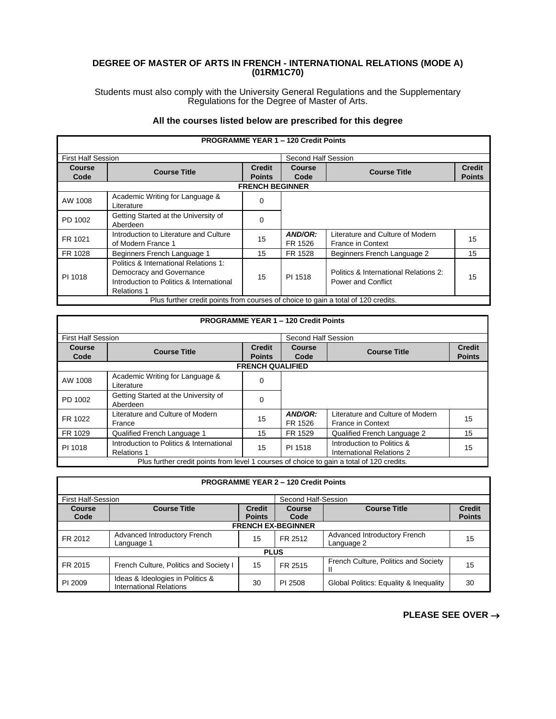## **DEGREE OF MASTER OF ARTS IN FRENCH - INTERNATIONAL RELATIONS (MODE A) (01RM1C70)**

Students must also comply with the University General Regulations and the Supplementary Regulations for the Degree of Master of Arts.

## **All the courses listed below are prescribed for this degree**

Г

Г

|                           | <b>PROGRAMME YEAR 1 - 120 Credit Points</b>                                                                                         |                                |                     |                                                                    |                                |  |
|---------------------------|-------------------------------------------------------------------------------------------------------------------------------------|--------------------------------|---------------------|--------------------------------------------------------------------|--------------------------------|--|
| <b>First Half Session</b> |                                                                                                                                     |                                | Second Half Session |                                                                    |                                |  |
| Course<br>Code            | <b>Course Title</b>                                                                                                                 | <b>Credit</b><br><b>Points</b> | Course<br>Code      | <b>Course Title</b>                                                | <b>Credit</b><br><b>Points</b> |  |
|                           |                                                                                                                                     | <b>FRENCH BEGINNER</b>         |                     |                                                                    |                                |  |
| AW 1008                   | Academic Writing for Language &<br>Literature                                                                                       | $\Omega$                       |                     |                                                                    |                                |  |
| PD 1002                   | Getting Started at the University of<br>Aberdeen                                                                                    | $\Omega$                       |                     |                                                                    |                                |  |
| FR 1021                   | Introduction to Literature and Culture<br>of Modern France 1                                                                        | 15                             | AND/OR:<br>FR 1526  | Literature and Culture of Modern<br><b>France in Context</b>       | 15                             |  |
| FR 1028                   | Beginners French Language 1                                                                                                         | 15                             | FR 1528             | Beginners French Language 2                                        | 15                             |  |
| PI 1018                   | Politics & International Relations 1:<br>Democracy and Governance<br>Introduction to Politics & International<br><b>Relations 1</b> | 15                             | PI 1518             | Politics & International Relations 2:<br><b>Power and Conflict</b> | 15                             |  |
|                           | Plus further credit points from courses of choice to gain a total of 120 credits.                                                   |                                |                     |                                                                    |                                |  |

|                           | <b>PROGRAMME YEAR 1 - 120 Credit Points</b>                                               |                                |                     |                                                              |                                |  |
|---------------------------|-------------------------------------------------------------------------------------------|--------------------------------|---------------------|--------------------------------------------------------------|--------------------------------|--|
| <b>First Half Session</b> |                                                                                           |                                | Second Half Session |                                                              |                                |  |
| Course<br>Code            | <b>Course Title</b>                                                                       | <b>Credit</b><br><b>Points</b> | Course<br>Code      | <b>Course Title</b>                                          | <b>Credit</b><br><b>Points</b> |  |
|                           |                                                                                           | <b>FRENCH QUALIFIED</b>        |                     |                                                              |                                |  |
| AW 1008                   | Academic Writing for Language &<br>Literature                                             | 0                              |                     |                                                              |                                |  |
| PD 1002                   | Getting Started at the University of<br>Aberdeen                                          | $\Omega$                       |                     |                                                              |                                |  |
| FR 1022                   | Literature and Culture of Modern<br>France                                                | 15                             | AND/OR:<br>FR 1526  | Literature and Culture of Modern<br><b>France in Context</b> | 15                             |  |
| FR 1029                   | Qualified French Language 1                                                               | 15                             | FR 1529             | Qualified French Language 2                                  | 15                             |  |
| PI 1018                   | Introduction to Politics & International<br><b>Relations 1</b>                            | 15                             | PI 1518             | Introduction to Politics &<br>International Relations 2      | 15                             |  |
|                           | Plus further credit points from level 1 courses of choice to gain a total of 120 credits. |                                |                     |                                                              |                                |  |

| <b>PROGRAMME YEAR 2 - 120 Credit Points</b>      |                                                                    |                                |                       |                                            |                                |  |
|--------------------------------------------------|--------------------------------------------------------------------|--------------------------------|-----------------------|--------------------------------------------|--------------------------------|--|
| <b>First Half-Session</b><br>Second Half-Session |                                                                    |                                |                       |                                            |                                |  |
| <b>Course</b><br>Code                            | <b>Course Title</b>                                                | <b>Credit</b><br><b>Points</b> | <b>Course</b><br>Code | <b>Course Title</b>                        | <b>Credit</b><br><b>Points</b> |  |
|                                                  | <b>FRENCH EX-BEGINNER</b>                                          |                                |                       |                                            |                                |  |
| FR 2012                                          | Advanced Introductory French<br>Language 1                         | 15                             | FR 2512               | Advanced Introductory French<br>Language 2 | 15                             |  |
|                                                  |                                                                    | <b>PLUS</b>                    |                       |                                            |                                |  |
| FR 2015                                          | French Culture, Politics and Society I                             | 15                             | FR 2515               | French Culture, Politics and Society<br>Ш  | 15                             |  |
| PI 2009                                          | Ideas & Ideologies in Politics &<br><b>International Relations</b> | 30                             | PI 2508               | Global Politics: Equality & Inequality     | 30                             |  |

**PLEASE SEE OVER** →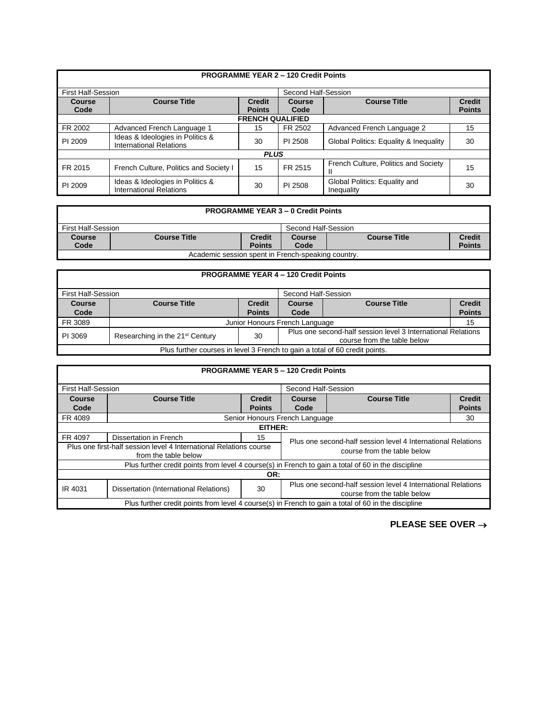|                                                  |                                                                    |                                | <b>PROGRAMME YEAR 2 - 120 Credit Points</b> |                                             |                                |  |
|--------------------------------------------------|--------------------------------------------------------------------|--------------------------------|---------------------------------------------|---------------------------------------------|--------------------------------|--|
| Second Half-Session<br><b>First Half-Session</b> |                                                                    |                                |                                             |                                             |                                |  |
| Course<br>Code                                   | <b>Course Title</b>                                                | <b>Credit</b><br><b>Points</b> | Course<br>Code                              | <b>Course Title</b>                         | <b>Credit</b><br><b>Points</b> |  |
| <b>FRENCH QUALIFIED</b>                          |                                                                    |                                |                                             |                                             |                                |  |
| FR 2002                                          | Advanced French Language 1                                         | 15                             | FR 2502                                     | Advanced French Language 2                  | 15                             |  |
| PI 2009                                          | Ideas & Ideologies in Politics &<br><b>International Relations</b> | 30                             | PI 2508                                     | Global Politics: Equality & Inequality      | 30                             |  |
|                                                  |                                                                    | <b>PLUS</b>                    |                                             |                                             |                                |  |
| FR 2015                                          | French Culture, Politics and Society I                             | 15                             | FR 2515                                     | French Culture, Politics and Society<br>н   | 15                             |  |
| PI 2009                                          | Ideas & Ideologies in Politics &<br><b>International Relations</b> | 30                             | PI 2508                                     | Global Politics: Equality and<br>Inequality | 30                             |  |

| <b>PROGRAMME YEAR 3 - 0 Credit Points</b>          |                     |               |                                                |               |  |  |
|----------------------------------------------------|---------------------|---------------|------------------------------------------------|---------------|--|--|
| First Half-Session<br>Second Half-Session          |                     |               |                                                |               |  |  |
| Course                                             | <b>Course Title</b> | <b>Credit</b> | <b>Credit</b><br><b>Course Title</b><br>Course |               |  |  |
| Code                                               | <b>Points</b>       | Code          |                                                | <b>Points</b> |  |  |
| Academic session spent in French-speaking country. |                     |               |                                                |               |  |  |

| <b>PROGRAMME YEAR 4 - 120 Credit Points</b>                                                                                                                 |                                                                              |               |      |  |               |  |
|-------------------------------------------------------------------------------------------------------------------------------------------------------------|------------------------------------------------------------------------------|---------------|------|--|---------------|--|
|                                                                                                                                                             | First Half-Session<br>Second Half-Session                                    |               |      |  |               |  |
| <b>Course</b>                                                                                                                                               | <b>Course Title</b><br><b>Credit</b><br><b>Course Title</b><br><b>Course</b> |               |      |  | <b>Credit</b> |  |
| Code                                                                                                                                                        |                                                                              | <b>Points</b> | Code |  | <b>Points</b> |  |
| FR 3089                                                                                                                                                     | Junior Honours French Language                                               |               |      |  |               |  |
| Plus one second-half session level 3 International Relations<br>Researching in the 21 <sup>st</sup> Century<br>PI 3069<br>30<br>course from the table below |                                                                              |               |      |  |               |  |
| Plus further courses in level 3 French to gain a total of 60 credit points.                                                                                 |                                                                              |               |      |  |               |  |

|                                                                                                                                                        | <b>PROGRAMME YEAR 5 - 120 Credit Points</b>                                                         |               |                                                              |  |  |  |  |
|--------------------------------------------------------------------------------------------------------------------------------------------------------|-----------------------------------------------------------------------------------------------------|---------------|--------------------------------------------------------------|--|--|--|--|
| <b>First Half-Session</b>                                                                                                                              |                                                                                                     |               | Second Half-Session                                          |  |  |  |  |
| <b>Course</b>                                                                                                                                          | <b>Course Title</b><br><b>Course Title</b><br><b>Credit</b><br>Course                               |               | <b>Credit</b>                                                |  |  |  |  |
| Code                                                                                                                                                   |                                                                                                     | <b>Points</b> | <b>Points</b><br>Code                                        |  |  |  |  |
| FR 4089                                                                                                                                                |                                                                                                     |               | Senior Honours French Language<br>30                         |  |  |  |  |
|                                                                                                                                                        | EITHER:                                                                                             |               |                                                              |  |  |  |  |
| FR 4097                                                                                                                                                | Dissertation in French                                                                              | 15            | Plus one second-half session level 4 International Relations |  |  |  |  |
| Plus one first-half session level 4 International Relations course<br>course from the table below<br>from the table below                              |                                                                                                     |               |                                                              |  |  |  |  |
|                                                                                                                                                        | Plus further credit points from level 4 course(s) in French to gain a total of 60 in the discipline |               |                                                              |  |  |  |  |
| OR:                                                                                                                                                    |                                                                                                     |               |                                                              |  |  |  |  |
| Plus one second-half session level 4 International Relations<br>30<br>Dissertation (International Relations)<br>IR 4031<br>course from the table below |                                                                                                     |               |                                                              |  |  |  |  |
|                                                                                                                                                        | Plus further credit points from level 4 course(s) in French to gain a total of 60 in the discipline |               |                                                              |  |  |  |  |

**PLEASE SEE OVER** →